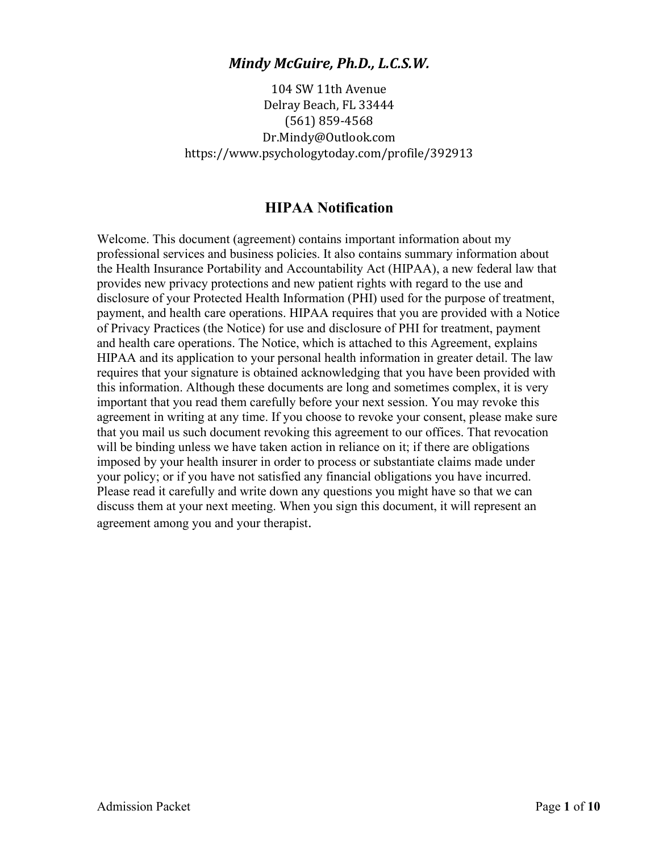104 SW 11th Avenue Delray Beach, FL 33444 (561) 859-4568 Dr.Mindy@Outlook.com https://www.psychologytoday.com/profile/392913

### **HIPAA Notification**

Welcome. This document (agreement) contains important information about my professional services and business policies. It also contains summary information about the Health Insurance Portability and Accountability Act (HIPAA), a new federal law that provides new privacy protections and new patient rights with regard to the use and disclosure of your Protected Health Information (PHI) used for the purpose of treatment, payment, and health care operations. HIPAA requires that you are provided with a Notice of Privacy Practices (the Notice) for use and disclosure of PHI for treatment, payment and health care operations. The Notice, which is attached to this Agreement, explains HIPAA and its application to your personal health information in greater detail. The law requires that your signature is obtained acknowledging that you have been provided with this information. Although these documents are long and sometimes complex, it is very important that you read them carefully before your next session. You may revoke this agreement in writing at any time. If you choose to revoke your consent, please make sure that you mail us such document revoking this agreement to our offices. That revocation will be binding unless we have taken action in reliance on it; if there are obligations imposed by your health insurer in order to process or substantiate claims made under your policy; or if you have not satisfied any financial obligations you have incurred. Please read it carefully and write down any questions you might have so that we can discuss them at your next meeting. When you sign this document, it will represent an agreement among you and your therapist.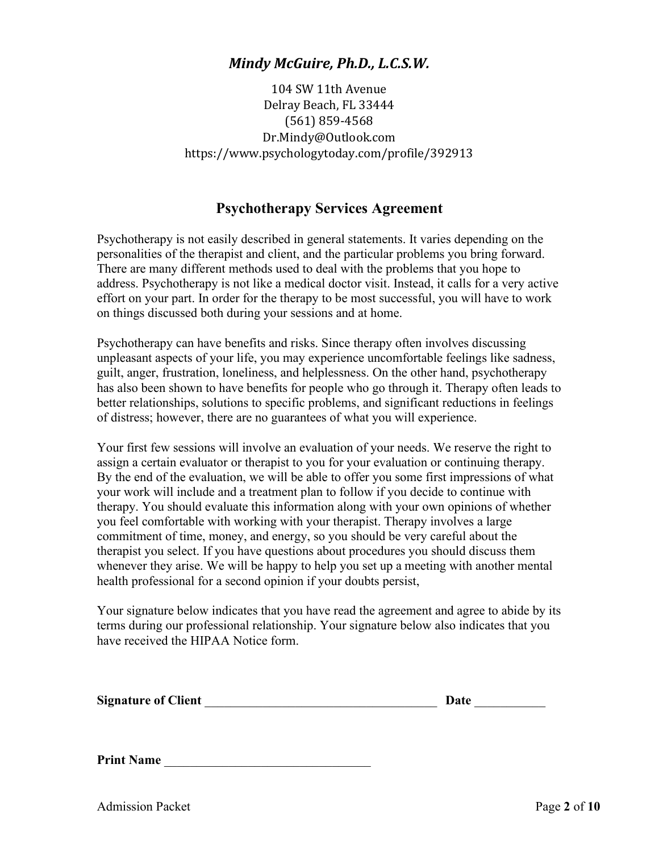104 SW 11th Avenue Delray Beach, FL 33444 (561) 859-4568 Dr.Mindy@Outlook.com https://www.psychologytoday.com/profile/392913

### **Psychotherapy Services Agreement**

Psychotherapy is not easily described in general statements. It varies depending on the personalities of the therapist and client, and the particular problems you bring forward. There are many different methods used to deal with the problems that you hope to address. Psychotherapy is not like a medical doctor visit. Instead, it calls for a very active effort on your part. In order for the therapy to be most successful, you will have to work on things discussed both during your sessions and at home.

Psychotherapy can have benefits and risks. Since therapy often involves discussing unpleasant aspects of your life, you may experience uncomfortable feelings like sadness, guilt, anger, frustration, loneliness, and helplessness. On the other hand, psychotherapy has also been shown to have benefits for people who go through it. Therapy often leads to better relationships, solutions to specific problems, and significant reductions in feelings of distress; however, there are no guarantees of what you will experience.

Your first few sessions will involve an evaluation of your needs. We reserve the right to assign a certain evaluator or therapist to you for your evaluation or continuing therapy. By the end of the evaluation, we will be able to offer you some first impressions of what your work will include and a treatment plan to follow if you decide to continue with therapy. You should evaluate this information along with your own opinions of whether you feel comfortable with working with your therapist. Therapy involves a large commitment of time, money, and energy, so you should be very careful about the therapist you select. If you have questions about procedures you should discuss them whenever they arise. We will be happy to help you set up a meeting with another mental health professional for a second opinion if your doubts persist,

Your signature below indicates that you have read the agreement and agree to abide by its terms during our professional relationship. Your signature below also indicates that you have received the HIPAA Notice form.

|  | <b>Signature of Client</b> |  | Date |  |
|--|----------------------------|--|------|--|
|--|----------------------------|--|------|--|

**Print Name**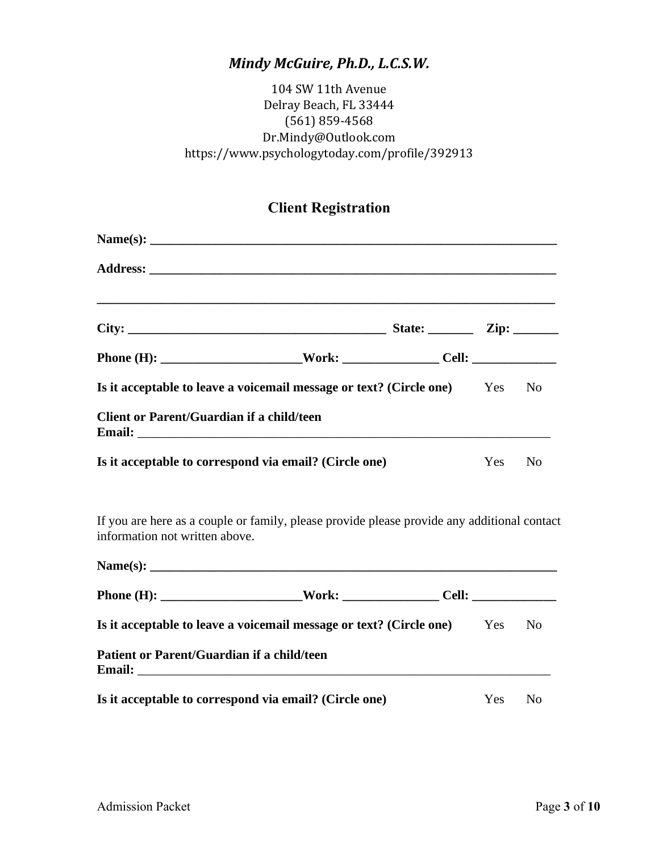### 104 SW 11th Avenue Delray Beach, FL 33444 (561) 859-4568 Dr.Mindy@Outlook.com https://www.psychologytoday.com/profile/392913

## **Client Registration**

|                                            | Is it acceptable to leave a voicemail message or text? (Circle one) Yes No                  |     |                |
|--------------------------------------------|---------------------------------------------------------------------------------------------|-----|----------------|
| Client or Parent/Guardian if a child/teen  |                                                                                             |     |                |
|                                            | Is it acceptable to correspond via email? (Circle one)                                      | Yes | N <sub>o</sub> |
| information not written above.             | If you are here as a couple or family, please provide please provide any additional contact |     |                |
|                                            |                                                                                             |     |                |
|                                            |                                                                                             |     |                |
|                                            | Is it acceptable to leave a voicemail message or text? (Circle one) Yes                     |     | N <sub>0</sub> |
| Patient or Parent/Guardian if a child/teen |                                                                                             |     |                |
|                                            | Is it acceptable to correspond via email? (Circle one)                                      | Yes | N <sub>0</sub> |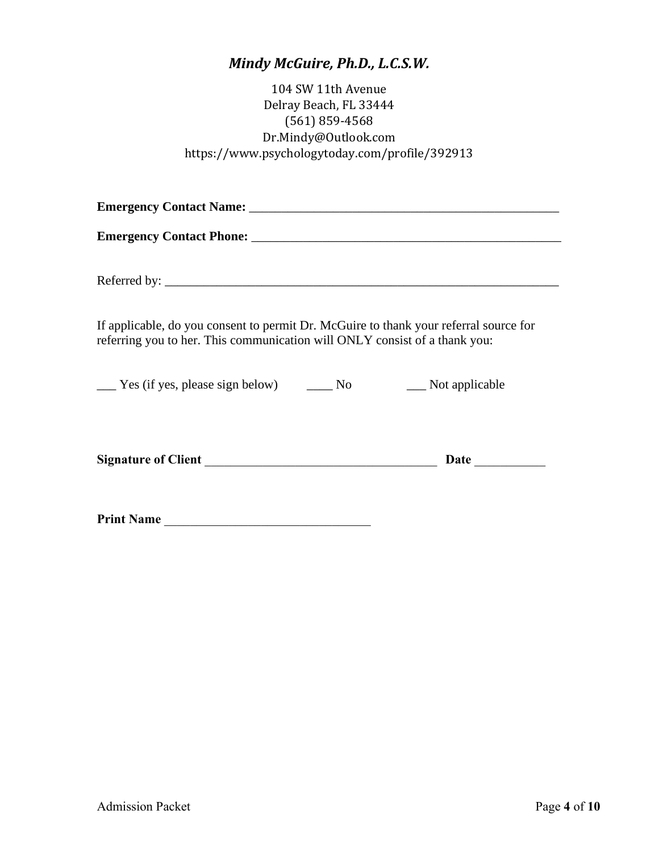104 SW 11th Avenue Delray Beach, FL 33444 (561) 859-4568 Dr.Mindy@Outlook.com https://www.psychologytoday.com/profile/392913

| If applicable, do you consent to permit Dr. McGuire to thank your referral source for<br>referring you to her. This communication will ONLY consist of a thank you: |  |
|---------------------------------------------------------------------------------------------------------------------------------------------------------------------|--|
| ______ Yes (if yes, please sign below) ________ No ________ Not applicable                                                                                          |  |
|                                                                                                                                                                     |  |
| Print Name                                                                                                                                                          |  |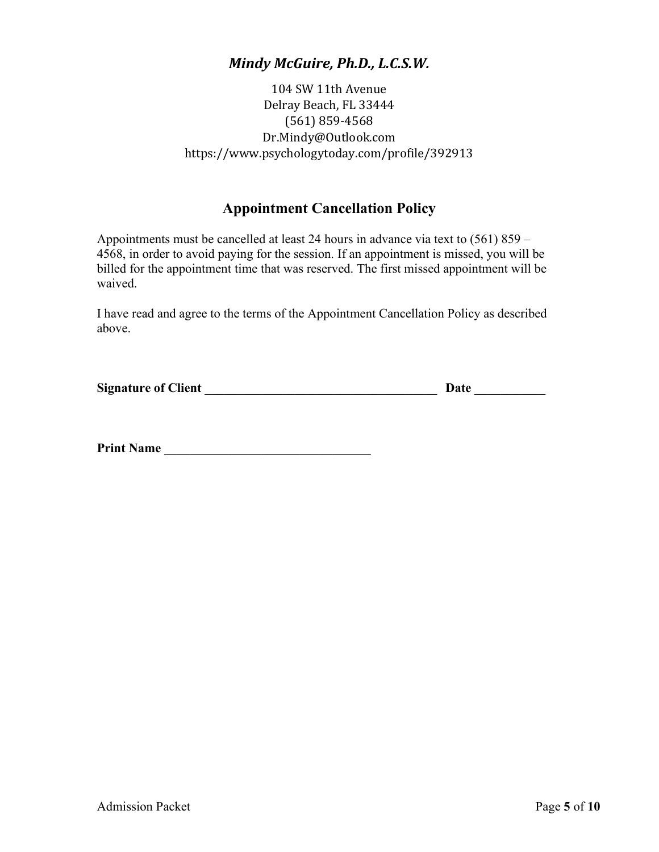104 SW 11th Avenue Delray Beach, FL 33444 (561) 859-4568 Dr.Mindy@Outlook.com https://www.psychologytoday.com/profile/392913

### **Appointment Cancellation Policy**

Appointments must be cancelled at least 24 hours in advance via text to (561) 859 – 4568, in order to avoid paying for the session. If an appointment is missed, you will be billed for the appointment time that was reserved. The first missed appointment will be waived.

I have read and agree to the terms of the Appointment Cancellation Policy as described above.

| <b>Signature of Client</b> | Date |  |
|----------------------------|------|--|
|                            |      |  |

**Print Name** \_\_\_\_\_\_\_\_\_\_\_\_\_\_\_\_\_\_\_\_\_\_\_\_\_\_\_\_\_\_\_\_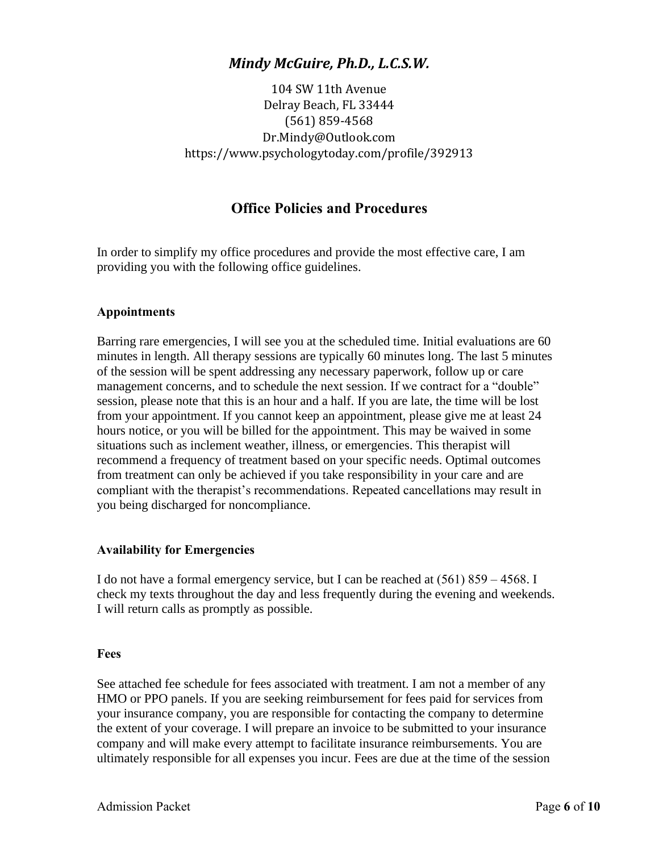104 SW 11th Avenue Delray Beach, FL 33444 (561) 859-4568 Dr.Mindy@Outlook.com https://www.psychologytoday.com/profile/392913

### **Office Policies and Procedures**

In order to simplify my office procedures and provide the most effective care, I am providing you with the following office guidelines.

#### **Appointments**

Barring rare emergencies, I will see you at the scheduled time. Initial evaluations are 60 minutes in length. All therapy sessions are typically 60 minutes long. The last 5 minutes of the session will be spent addressing any necessary paperwork, follow up or care management concerns, and to schedule the next session. If we contract for a "double" session, please note that this is an hour and a half. If you are late, the time will be lost from your appointment. If you cannot keep an appointment, please give me at least 24 hours notice, or you will be billed for the appointment. This may be waived in some situations such as inclement weather, illness, or emergencies. This therapist will recommend a frequency of treatment based on your specific needs. Optimal outcomes from treatment can only be achieved if you take responsibility in your care and are compliant with the therapist's recommendations. Repeated cancellations may result in you being discharged for noncompliance.

#### **Availability for Emergencies**

I do not have a formal emergency service, but I can be reached at (561) 859 – 4568. I check my texts throughout the day and less frequently during the evening and weekends. I will return calls as promptly as possible.

#### **Fees**

See attached fee schedule for fees associated with treatment. I am not a member of any HMO or PPO panels. If you are seeking reimbursement for fees paid for services from your insurance company, you are responsible for contacting the company to determine the extent of your coverage. I will prepare an invoice to be submitted to your insurance company and will make every attempt to facilitate insurance reimbursements. You are ultimately responsible for all expenses you incur. Fees are due at the time of the session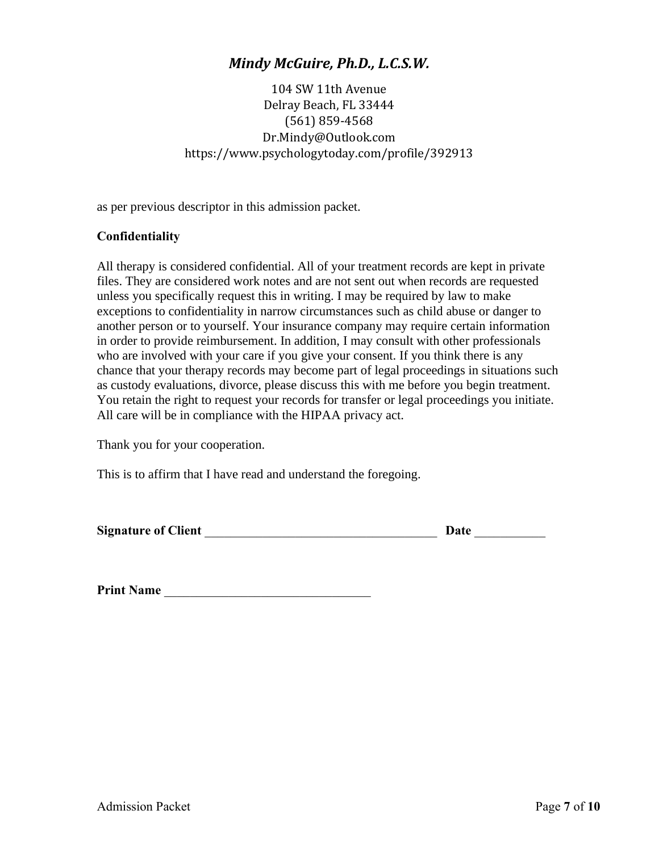104 SW 11th Avenue Delray Beach, FL 33444 (561) 859-4568 Dr.Mindy@Outlook.com https://www.psychologytoday.com/profile/392913

as per previous descriptor in this admission packet.

#### **Confidentiality**

All therapy is considered confidential. All of your treatment records are kept in private files. They are considered work notes and are not sent out when records are requested unless you specifically request this in writing. I may be required by law to make exceptions to confidentiality in narrow circumstances such as child abuse or danger to another person or to yourself. Your insurance company may require certain information in order to provide reimbursement. In addition, I may consult with other professionals who are involved with your care if you give your consent. If you think there is any chance that your therapy records may become part of legal proceedings in situations such as custody evaluations, divorce, please discuss this with me before you begin treatment. You retain the right to request your records for transfer or legal proceedings you initiate. All care will be in compliance with the HIPAA privacy act.

Thank you for your cooperation.

This is to affirm that I have read and understand the foregoing.

| <b>Signature of Client</b> | Date |  |
|----------------------------|------|--|
|                            |      |  |

Print Name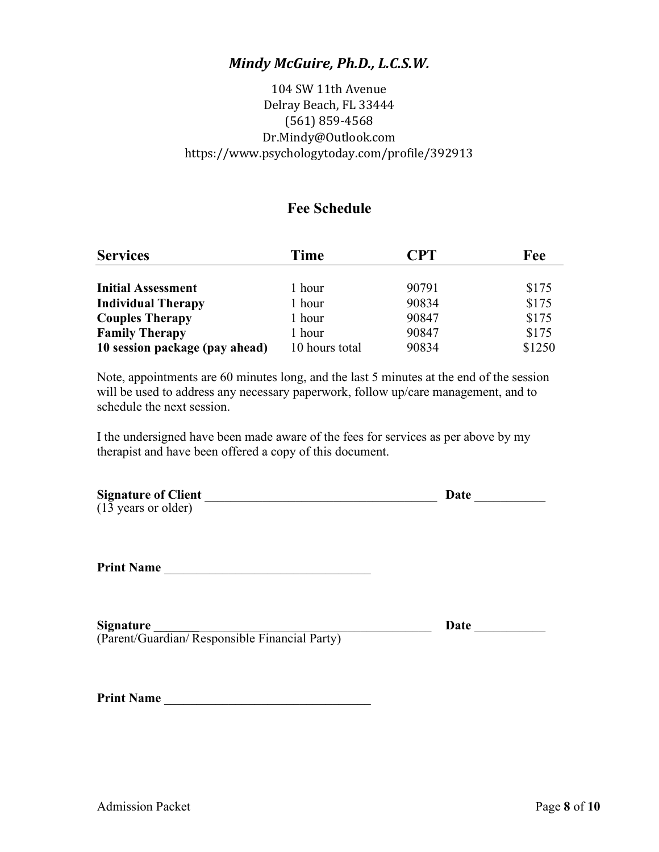### 104 SW 11th Avenue Delray Beach, FL 33444 (561) 859-4568 Dr.Mindy@Outlook.com https://www.psychologytoday.com/profile/392913

### **Fee Schedule**

| <b>Services</b>                | Time           | <b>CPT</b> | Fee    |
|--------------------------------|----------------|------------|--------|
|                                |                |            |        |
| <b>Initial Assessment</b>      | 1 hour         | 90791      | \$175  |
| <b>Individual Therapy</b>      | 1 hour         | 90834      | \$175  |
| <b>Couples Therapy</b>         | 1 hour         | 90847      | \$175  |
| <b>Family Therapy</b>          | 1 hour         | 90847      | \$175  |
| 10 session package (pay ahead) | 10 hours total | 90834      | \$1250 |

Note, appointments are 60 minutes long, and the last 5 minutes at the end of the session will be used to address any necessary paperwork, follow up/care management, and to schedule the next session.

I the undersigned have been made aware of the fees for services as per above by my therapist and have been offered a copy of this document.

| <b>Signature of Client</b> | Date |
|----------------------------|------|
| (13 years or older)        |      |
|                            |      |

**Print Name** \_\_\_\_\_\_\_\_\_\_\_\_\_\_\_\_\_\_\_\_\_\_\_\_\_\_\_\_\_\_\_\_

| <b>Signature</b>                              | Date |
|-----------------------------------------------|------|
| (Parent/Guardian/Responsible Financial Party) |      |

| <b>Print Name</b> |  |
|-------------------|--|
|                   |  |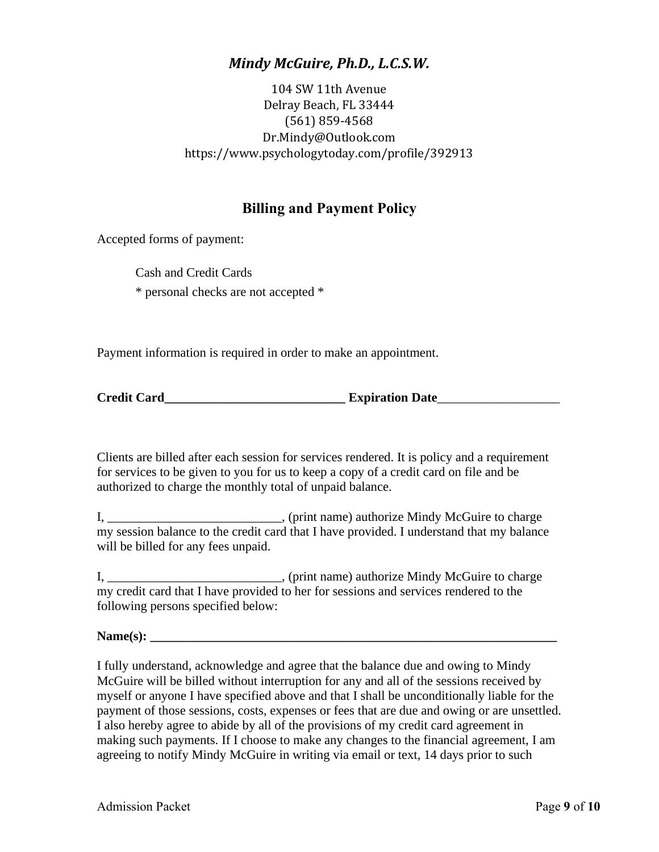104 SW 11th Avenue Delray Beach, FL 33444 (561) 859-4568 Dr.Mindy@Outlook.com https://www.psychologytoday.com/profile/392913

### **Billing and Payment Policy**

Accepted forms of payment:

Cash and Credit Cards \* personal checks are not accepted \*

Payment information is required in order to make an appointment.

Clients are billed after each session for services rendered. It is policy and a requirement for services to be given to you for us to keep a copy of a credit card on file and be authorized to charge the monthly total of unpaid balance.

I, \_\_\_\_\_\_\_\_\_\_\_\_\_\_\_\_\_\_\_\_\_\_\_\_\_, (print name) authorize Mindy McGuire to charge my session balance to the credit card that I have provided. I understand that my balance will be billed for any fees unpaid.

I, \_\_\_\_\_\_\_\_\_\_\_\_\_\_\_\_\_\_\_\_\_\_\_\_\_\_\_, (print name) authorize Mindy McGuire to charge my credit card that I have provided to her for sessions and services rendered to the following persons specified below:

**Name(s): \_\_\_\_\_\_\_\_\_\_\_\_\_\_\_\_\_\_\_\_\_\_\_\_\_\_\_\_\_\_\_\_\_\_\_\_\_\_\_\_\_\_\_\_\_\_\_\_\_\_\_\_\_\_\_\_\_\_\_\_\_\_\_**

I fully understand, acknowledge and agree that the balance due and owing to Mindy McGuire will be billed without interruption for any and all of the sessions received by myself or anyone I have specified above and that I shall be unconditionally liable for the payment of those sessions, costs, expenses or fees that are due and owing or are unsettled. I also hereby agree to abide by all of the provisions of my credit card agreement in making such payments. If I choose to make any changes to the financial agreement, I am agreeing to notify Mindy McGuire in writing via email or text, 14 days prior to such